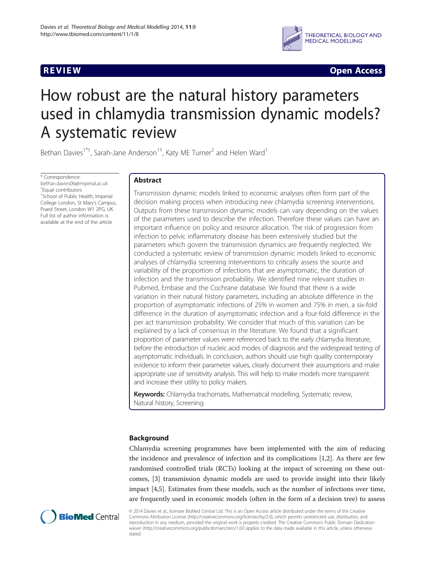

**REVIEW REVIEW CONSTRUCTER ACCESS** 

# How robust are the natural history parameters used in chlamydia transmission dynamic models? A systematic review

Bethan Davies<sup>1\*†</sup>, Sarah-Jane Anderson<sup>1†</sup>, Katy ME Turner<sup>2</sup> and Helen Ward<sup>1</sup>

\* Correspondence: [bethan.davies06@imperial.ac.uk](mailto:bethan.davies06@imperial.ac.uk) † Equal contributors <sup>1</sup>School of Public Health, Imperial College London, St Mary's Campus, Praed Street, London W1 2PG, UK Full list of author information is available at the end of the article

# Abstract

Transmission dynamic models linked to economic analyses often form part of the decision making process when introducing new chlamydia screening interventions. Outputs from these transmission dynamic models can vary depending on the values of the parameters used to describe the infection. Therefore these values can have an important influence on policy and resource allocation. The risk of progression from infection to pelvic inflammatory disease has been extensively studied but the parameters which govern the transmission dynamics are frequently neglected. We conducted a systematic review of transmission dynamic models linked to economic analyses of chlamydia screening interventions to critically assess the source and variability of the proportion of infections that are asymptomatic, the duration of infection and the transmission probability. We identified nine relevant studies in Pubmed, Embase and the Cochrane database. We found that there is a wide variation in their natural history parameters, including an absolute difference in the proportion of asymptomatic infections of 25% in women and 75% in men, a six-fold difference in the duration of asymptomatic infection and a four-fold difference in the per act transmission probability. We consider that much of this variation can be explained by a lack of consensus in the literature. We found that a significant proportion of parameter values were referenced back to the early chlamydia literature, before the introduction of nucleic acid modes of diagnosis and the widespread testing of asymptomatic individuals. In conclusion, authors should use high quality contemporary evidence to inform their parameter values, clearly document their assumptions and make appropriate use of sensitivity analysis. This will help to make models more transparent and increase their utility to policy makers.

Keywords: Chlamydia trachomatis, Mathematical modelling, Systematic review, Natural history, Screening

# Background

Chlamydia screening programmes have been implemented with the aim of reducing the incidence and prevalence of infection and its complications [[1](#page-11-0),[2](#page-11-0)]. As there are few randomised controlled trials (RCTs) looking at the impact of screening on these outcomes, [\[3](#page-11-0)] transmission dynamic models are used to provide insight into their likely impact [[4,5\]](#page-11-0). Estimates from these models, such as the number of infections over time, are frequently used in economic models (often in the form of a decision tree) to assess



© 2014 Davies et al.; licensee BioMed Central Ltd. This is an Open Access article distributed under the terms of the Creative Commons Attribution License [\(http://creativecommons.org/licenses/by/2.0\)](http://creativecommons.org/licenses/by/2.0), which permits unrestricted use, distribution, and reproduction in any medium, provided the original work is properly credited. The Creative Commons Public Domain Dedication waiver [\(http://creativecommons.org/publicdomain/zero/1.0/\)](http://creativecommons.org/publicdomain/zero/1.0/) applies to the data made available in this article, unless otherwise stated.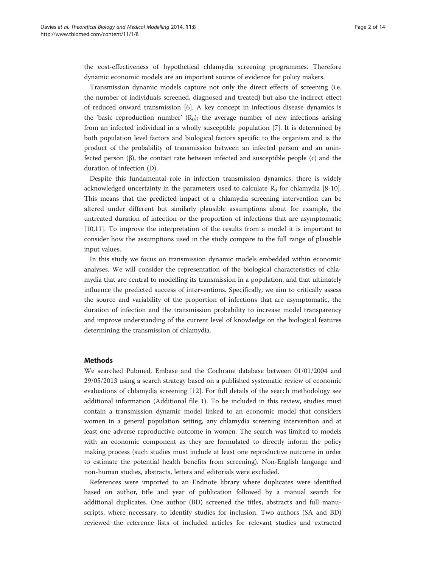the cost-effectiveness of hypothetical chlamydia screening programmes. Therefore dynamic economic models are an important source of evidence for policy makers.

Transmission dynamic models capture not only the direct effects of screening (i.e. the number of individuals screened, diagnosed and treated) but also the indirect effect of reduced onward transmission [[6](#page-11-0)]. A key concept in infectious disease dynamics is the 'basic reproduction number'  $(R_0)$ ; the average number of new infections arising from an infected individual in a wholly susceptible population [[7\]](#page-11-0). It is determined by both population level factors and biological factors specific to the organism and is the product of the probability of transmission between an infected person and an uninfected person (β), the contact rate between infected and susceptible people (c) and the duration of infection (D).

Despite this fundamental role in infection transmission dynamics, there is widely acknowledged uncertainty in the parameters used to calculate  $R_0$  for chlamydia [\[8-10](#page-11-0)]. This means that the predicted impact of a chlamydia screening intervention can be altered under different but similarly plausible assumptions about for example, the untreated duration of infection or the proportion of infections that are asymptomatic [[10,11\]](#page-11-0). To improve the interpretation of the results from a model it is important to consider how the assumptions used in the study compare to the full range of plausible input values.

In this study we focus on transmission dynamic models embedded within economic analyses. We will consider the representation of the biological characteristics of chlamydia that are central to modelling its transmission in a population, and that ultimately influence the predicted success of interventions. Specifically, we aim to critically assess the source and variability of the proportion of infections that are asymptomatic, the duration of infection and the transmission probability to increase model transparency and improve understanding of the current level of knowledge on the biological features determining the transmission of chlamydia.

# Methods

We searched Pubmed, Embase and the Cochrane database between 01/01/2004 and 29/05/2013 using a search strategy based on a published systematic review of economic evaluations of chlamydia screening [[12\]](#page-11-0). For full details of the search methodology see additional information (Additional file [1\)](#page-10-0). To be included in this review, studies must contain a transmission dynamic model linked to an economic model that considers women in a general population setting, any chlamydia screening intervention and at least one adverse reproductive outcome in women. The search was limited to models with an economic component as they are formulated to directly inform the policy making process (such studies must include at least one reproductive outcome in order to estimate the potential health benefits from screening). Non-English language and non-human studies, abstracts, letters and editorials were excluded.

References were imported to an Endnote library where duplicates were identified based on author, title and year of publication followed by a manual search for additional duplicates. One author (BD) screened the titles, abstracts and full manuscripts, where necessary, to identify studies for inclusion. Two authors (SA and BD) reviewed the reference lists of included articles for relevant studies and extracted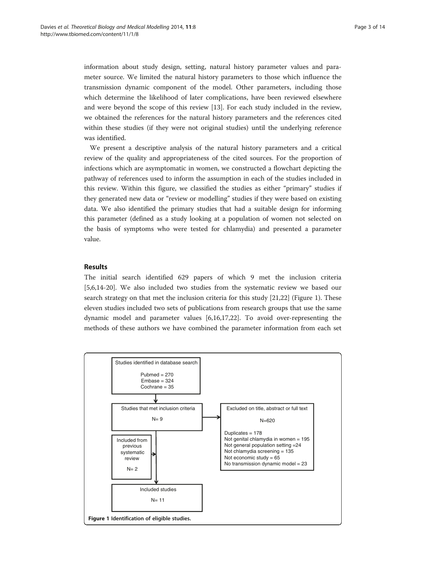information about study design, setting, natural history parameter values and parameter source. We limited the natural history parameters to those which influence the transmission dynamic component of the model. Other parameters, including those which determine the likelihood of later complications, have been reviewed elsewhere and were beyond the scope of this review [[13](#page-11-0)]. For each study included in the review, we obtained the references for the natural history parameters and the references cited within these studies (if they were not original studies) until the underlying reference was identified.

We present a descriptive analysis of the natural history parameters and a critical review of the quality and appropriateness of the cited sources. For the proportion of infections which are asymptomatic in women, we constructed a flowchart depicting the pathway of references used to inform the assumption in each of the studies included in this review. Within this figure, we classified the studies as either "primary" studies if they generated new data or "review or modelling" studies if they were based on existing data. We also identified the primary studies that had a suitable design for informing this parameter (defined as a study looking at a population of women not selected on the basis of symptoms who were tested for chlamydia) and presented a parameter value.

# Results

The initial search identified 629 papers of which 9 met the inclusion criteria [[5,6,14-20](#page-11-0)]. We also included two studies from the systematic review we based our search strategy on that met the inclusion criteria for this study [\[21,22](#page-11-0)] (Figure 1). These eleven studies included two sets of publications from research groups that use the same dynamic model and parameter values [[6,16,17,22\]](#page-11-0). To avoid over-representing the methods of these authors we have combined the parameter information from each set

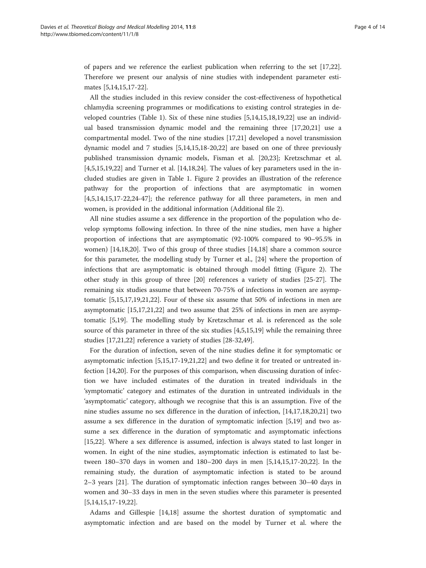of papers and we reference the earliest publication when referring to the set [[17](#page-11-0),[22](#page-11-0)]. Therefore we present our analysis of nine studies with independent parameter estimates [[5,14,15,17-22\]](#page-11-0).

All the studies included in this review consider the cost-effectiveness of hypothetical chlamydia screening programmes or modifications to existing control strategies in developed countries (Table [1\)](#page-4-0). Six of these nine studies [\[5,14,15,18,19,22](#page-11-0)] use an individual based transmission dynamic model and the remaining three [\[17,20,21\]](#page-11-0) use a compartmental model. Two of the nine studies [[17,21\]](#page-11-0) developed a novel transmission dynamic model and 7 studies [[5,14,15,18-20,22](#page-11-0)] are based on one of three previously published transmission dynamic models, Fisman et al. [[20](#page-11-0),[23](#page-12-0)]; Kretzschmar et al. [[4,5,15,19,22\]](#page-11-0) and Turner et al. [\[14,18](#page-11-0)[,24](#page-12-0)]. The values of key parameters used in the included studies are given in Table [1.](#page-4-0) Figure [2](#page-6-0) provides an illustration of the reference pathway for the proportion of infections that are asymptomatic in women [[4,5,14,15,17-22](#page-11-0)[,24-47](#page-12-0)]; the reference pathway for all three parameters, in men and women, is provided in the additional information (Additional file [2\)](#page-10-0).

All nine studies assume a sex difference in the proportion of the population who develop symptoms following infection. In three of the nine studies, men have a higher proportion of infections that are asymptomatic (92-100% compared to 90–95.5% in women) [\[14,18,20](#page-11-0)]. Two of this group of three studies [[14,18\]](#page-11-0) share a common source for this parameter, the modelling study by Turner et al., [\[24\]](#page-12-0) where the proportion of infections that are asymptomatic is obtained through model fitting (Figure [2](#page-6-0)). The other study in this group of three [[20\]](#page-11-0) references a variety of studies [\[25-27](#page-12-0)]. The remaining six studies assume that between 70-75% of infections in women are asymptomatic [\[5,15,17,19,21,22](#page-11-0)]. Four of these six assume that 50% of infections in men are asymptomatic [\[15,17,21,22](#page-11-0)] and two assume that 25% of infections in men are asymptomatic [\[5](#page-11-0),[19](#page-11-0)]. The modelling study by Kretzschmar et al. is referenced as the sole source of this parameter in three of the six studies [\[4,5,15,19\]](#page-11-0) while the remaining three studies [[17,21,22\]](#page-11-0) reference a variety of studies [[28-32,49](#page-12-0)].

For the duration of infection, seven of the nine studies define it for symptomatic or asymptomatic infection [\[5,15,17-19,21,22](#page-11-0)] and two define it for treated or untreated infection [[14,20\]](#page-11-0). For the purposes of this comparison, when discussing duration of infection we have included estimates of the duration in treated individuals in the 'symptomatic' category and estimates of the duration in untreated individuals in the 'asymptomatic' category, although we recognise that this is an assumption. Five of the nine studies assume no sex difference in the duration of infection, [\[14,17,18,20,21](#page-11-0)] two assume a sex difference in the duration of symptomatic infection [[5,19\]](#page-11-0) and two assume a sex difference in the duration of symptomatic and asymptomatic infections [[15,22\]](#page-11-0). Where a sex difference is assumed, infection is always stated to last longer in women. In eight of the nine studies, asymptomatic infection is estimated to last between 180–370 days in women and 180–200 days in men [[5](#page-11-0),[14](#page-11-0),[15,17](#page-11-0)-[20,22\]](#page-11-0). In the remaining study, the duration of asymptomatic infection is stated to be around 2–3 years [[21\]](#page-11-0). The duration of symptomatic infection ranges between 30–40 days in women and 30–33 days in men in the seven studies where this parameter is presented [[5,14,15,17-19,22\]](#page-11-0).

Adams and Gillespie [\[14,18](#page-11-0)] assume the shortest duration of symptomatic and asymptomatic infection and are based on the model by Turner et al. where the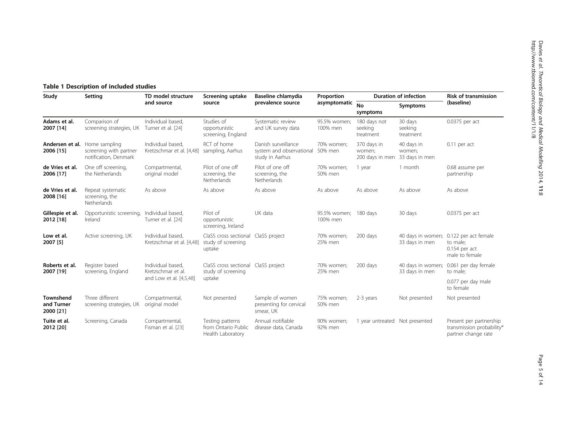# <span id="page-4-0"></span>Table 1 Description of included studies

| Study                                | Setting                                                          | TD model structure<br>and source                                   | Screening uptake<br>source                                          | Baseline chlamydia<br>prevalence source                            | Proportion<br>asymptomatic | <b>Duration of infection</b>             |                                        | <b>Risk of transmission</b>                                                             |
|--------------------------------------|------------------------------------------------------------------|--------------------------------------------------------------------|---------------------------------------------------------------------|--------------------------------------------------------------------|----------------------------|------------------------------------------|----------------------------------------|-----------------------------------------------------------------------------------------|
|                                      |                                                                  |                                                                    |                                                                     |                                                                    |                            | <b>No</b><br>symptoms                    | Symptoms                               | (baseline)                                                                              |
| Adams et al.<br>2007 [14]            | Comparison of<br>screening strategies, UK                        | Individual based,<br>Turner et al. [24]                            | Studies of<br>opportunistic<br>screening, England                   | Systematic review<br>and UK survey data                            | 95.5% women;<br>100% men   | 180 days not<br>seeking<br>treatment     | 30 days<br>seeking<br>treatment        | 0.0375 per act                                                                          |
| Andersen et al.<br>2006 [15]         | Home sampling<br>screening with partner<br>notification, Denmark | Individual based.<br>Kretzschmar et al. [4,48]                     | RCT of home<br>sampling, Aarhus                                     | Danish surveillance<br>system and observational<br>study in Aarhus | 70% women;<br>50% men      | 370 days in<br>women;<br>200 days in men | 40 days in<br>women;<br>33 days in men | $0.11$ per act                                                                          |
| de Vries et al.<br>2006 [17]         | One off screening,<br>the Netherlands                            | Compartmental,<br>original model                                   | Pilot of one off<br>screening, the<br>Netherlands                   | Pilot of one off<br>screening, the<br>Netherlands                  | 70% women;<br>50% men      | 1 year                                   | 1 month                                | 0.68 assume per<br>partnership                                                          |
| de Vries et al.<br>2008 [16]         | Repeat systematic<br>screening, the<br>Netherlands               | As above                                                           | As above                                                            | As above                                                           | As above                   | As above                                 | As above                               | As above                                                                                |
| Gillespie et al.<br>2012 [18]        | Opportunistic screening,<br>Ireland                              | Individual based.<br>Turner et al. [24]                            | Pilot of<br>opportunistic<br>screening, Ireland                     | UK data                                                            | 95.5% women;<br>100% men   | 180 days                                 | 30 days                                | 0.0375 per act                                                                          |
| Low et al.<br>2007 [5]               | Active screening, UK                                             | Individual based.<br>Kretzschmar et al. [4,48]                     | ClaSS cross sectional<br>study of screening<br>uptake               | ClaSS project                                                      | 70% women;<br>25% men      | 200 days                                 | 33 days in men                         | 40 days in women; 0.122 per act female<br>to male;<br>$0.154$ per act<br>male to female |
| Roberts et al.<br>2007 [19]          | Register based<br>screening, England                             | Individual based,<br>Kretzschmar et al.<br>and Low et al. [4,5,48] | ClaSS cross sectional ClaSS project<br>study of screening<br>uptake |                                                                    | 70% women;<br>25% men      | 200 days                                 | 40 days in women;<br>33 days in men    | 0.061 per day female<br>to male;                                                        |
|                                      |                                                                  |                                                                    |                                                                     |                                                                    |                            |                                          |                                        | 0.077 per day male<br>to female                                                         |
| Townshend<br>and Turner<br>2000 [21] | Three different<br>screening strategies, UK                      | Compartmental,<br>original model                                   | Not presented                                                       | Sample of women<br>presenting for cervical<br>smear, UK            | 75% women;<br>50% men      | 2-3 years                                | Not presented                          | Not presented                                                                           |
| Tuite et al.<br>2012 [20]            | Screening, Canada                                                | Compartmental,<br>Fisman et al. [23]                               | Testing patterns<br>from Ontario Public<br>Health Laboratory        | Annual notifiable<br>disease data, Canada                          | 90% women;<br>92% men      | 1 year untreated Not presented           |                                        | Present per partnership<br>transmission probability*<br>partner change rate             |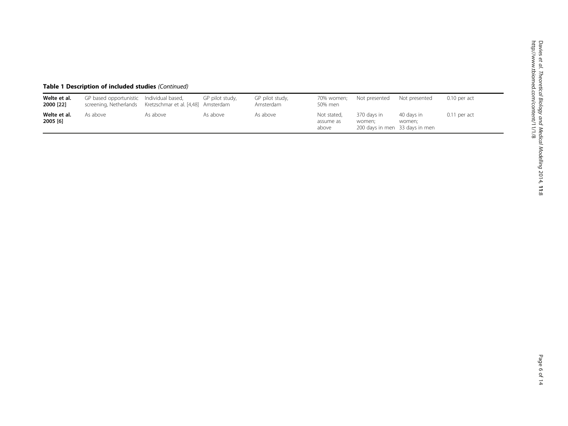| Welte et al.<br>2000 [22] | GP based opportunistic<br>screening, Netherlands | Individual based,<br>Kretzschmar et al. [4,48] Amsterdam | GP pilot study, | GP pilot study,<br>Amsterdam | 70% women:<br>50% men             | Not presented                                           | Not presented        | $0.10$ per act |
|---------------------------|--------------------------------------------------|----------------------------------------------------------|-----------------|------------------------------|-----------------------------------|---------------------------------------------------------|----------------------|----------------|
| Welte et al.<br>2005 [6]  | As above                                         | As above                                                 | As above        | As above                     | Not stated,<br>assume as<br>above | 370 davs in<br>women:<br>200 days in men 33 days in men | 40 days in<br>women: | $0.11$ per act |

# Table 1 Description of included studies (Continued)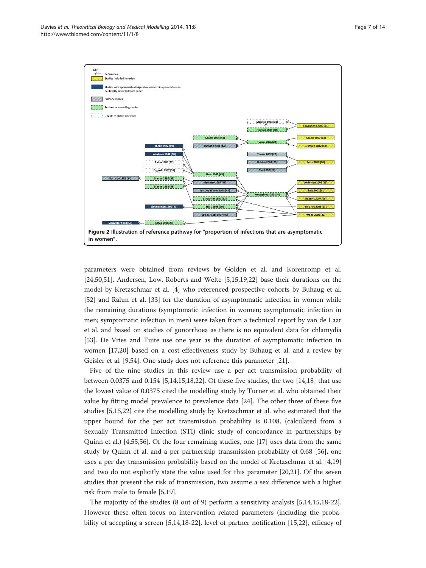<span id="page-6-0"></span>

parameters were obtained from reviews by Golden et al. and Korenromp et al. [[24,50,51\]](#page-12-0). Andersen, Low, Roberts and Welte [[5,15](#page-11-0),[19](#page-11-0),[22](#page-11-0)] base their durations on the model by Kretzschmar et al. [[4\]](#page-11-0) who referenced prospective cohorts by Buhaug et al. [[52\]](#page-12-0) and Rahm et al. [\[33](#page-12-0)] for the duration of asymptomatic infection in women while the remaining durations (symptomatic infection in women; asymptomatic infection in men; symptomatic infection in men) were taken from a technical report by van de Laar et al. and based on studies of gonorrhoea as there is no equivalent data for chlamydia [[53\]](#page-12-0). De Vries and Tuite use one year as the duration of asymptomatic infection in women [[17,20\]](#page-11-0) based on a cost-effectiveness study by Buhaug et al. and a review by Geisler et al. [[9,](#page-11-0)[54\]](#page-12-0). One study does not reference this parameter [\[21](#page-11-0)].

Five of the nine studies in this review use a per act transmission probability of between 0.0375 and 0.154 [\[5,14,15,18,22\]](#page-11-0). Of these five studies, the two [\[14,18\]](#page-11-0) that use the lowest value of 0.0375 cited the modelling study by Turner et al. who obtained their value by fitting model prevalence to prevalence data [\[24](#page-12-0)]. The other three of these five studies [\[5,15,22](#page-11-0)] cite the modelling study by Kretzschmar et al. who estimated that the upper bound for the per act transmission probability is 0.108, (calculated from a Sexually Transmitted Infection (STI) clinic study of concordance in partnerships by Quinn et al.) [\[4](#page-11-0)[,55,56\]](#page-12-0). Of the four remaining studies, one [[17](#page-11-0)] uses data from the same study by Quinn et al. and a per partnership transmission probability of 0.68 [[56\]](#page-12-0), one uses a per day transmission probability based on the model of Kretzschmar et al. [[4,19](#page-11-0)] and two do not explicitly state the value used for this parameter [[20,21\]](#page-11-0). Of the seven studies that present the risk of transmission, two assume a sex difference with a higher risk from male to female [[5,19\]](#page-11-0).

The majority of the studies (8 out of 9) perform a sensitivity analysis [\[5,14,15,18-22](#page-11-0)]. However these often focus on intervention related parameters (including the probability of accepting a screen [\[5,14,18-22](#page-11-0)], level of partner notification [[15](#page-11-0),[22](#page-11-0)], efficacy of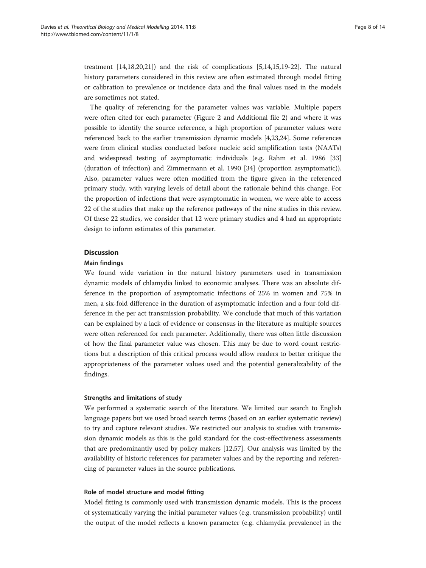treatment [\[14,18,20,21\]](#page-11-0)) and the risk of complications [\[5,14,15,19-22](#page-11-0)]. The natural history parameters considered in this review are often estimated through model fitting or calibration to prevalence or incidence data and the final values used in the models are sometimes not stated.

The quality of referencing for the parameter values was variable. Multiple papers were often cited for each parameter (Figure [2](#page-6-0) and Additional file [2](#page-10-0)) and where it was possible to identify the source reference, a high proportion of parameter values were referenced back to the earlier transmission dynamic models [\[4](#page-11-0),[23](#page-12-0),[24](#page-12-0)]. Some references were from clinical studies conducted before nucleic acid amplification tests (NAATs) and widespread testing of asymptomatic individuals (e.g. Rahm et al. 1986 [[33](#page-12-0)] (duration of infection) and Zimmermann et al. 1990 [\[34\]](#page-12-0) (proportion asymptomatic)). Also, parameter values were often modified from the figure given in the referenced primary study, with varying levels of detail about the rationale behind this change. For the proportion of infections that were asymptomatic in women, we were able to access 22 of the studies that make up the reference pathways of the nine studies in this review. Of these 22 studies, we consider that 12 were primary studies and 4 had an appropriate design to inform estimates of this parameter.

# **Discussion**

#### Main findings

We found wide variation in the natural history parameters used in transmission dynamic models of chlamydia linked to economic analyses. There was an absolute difference in the proportion of asymptomatic infections of 25% in women and 75% in men, a six-fold difference in the duration of asymptomatic infection and a four-fold difference in the per act transmission probability. We conclude that much of this variation can be explained by a lack of evidence or consensus in the literature as multiple sources were often referenced for each parameter. Additionally, there was often little discussion of how the final parameter value was chosen. This may be due to word count restrictions but a description of this critical process would allow readers to better critique the appropriateness of the parameter values used and the potential generalizability of the findings.

### Strengths and limitations of study

We performed a systematic search of the literature. We limited our search to English language papers but we used broad search terms (based on an earlier systematic review) to try and capture relevant studies. We restricted our analysis to studies with transmission dynamic models as this is the gold standard for the cost-effectiveness assessments that are predominantly used by policy makers [\[12](#page-11-0)[,57](#page-12-0)]. Our analysis was limited by the availability of historic references for parameter values and by the reporting and referencing of parameter values in the source publications.

#### Role of model structure and model fitting

Model fitting is commonly used with transmission dynamic models. This is the process of systematically varying the initial parameter values (e.g. transmission probability) until the output of the model reflects a known parameter (e.g. chlamydia prevalence) in the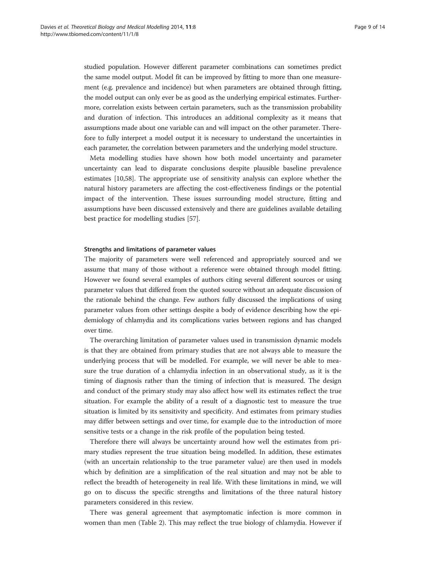studied population. However different parameter combinations can sometimes predict the same model output. Model fit can be improved by fitting to more than one measurement (e.g. prevalence and incidence) but when parameters are obtained through fitting, the model output can only ever be as good as the underlying empirical estimates. Furthermore, correlation exists between certain parameters, such as the transmission probability and duration of infection. This introduces an additional complexity as it means that assumptions made about one variable can and will impact on the other parameter. Therefore to fully interpret a model output it is necessary to understand the uncertainties in each parameter, the correlation between parameters and the underlying model structure.

Meta modelling studies have shown how both model uncertainty and parameter uncertainty can lead to disparate conclusions despite plausible baseline prevalence estimates [[10,](#page-11-0)[58\]](#page-13-0). The appropriate use of sensitivity analysis can explore whether the natural history parameters are affecting the cost-effectiveness findings or the potential impact of the intervention. These issues surrounding model structure, fitting and assumptions have been discussed extensively and there are guidelines available detailing best practice for modelling studies [[57\]](#page-12-0).

#### Strengths and limitations of parameter values

The majority of parameters were well referenced and appropriately sourced and we assume that many of those without a reference were obtained through model fitting. However we found several examples of authors citing several different sources or using parameter values that differed from the quoted source without an adequate discussion of the rationale behind the change. Few authors fully discussed the implications of using parameter values from other settings despite a body of evidence describing how the epidemiology of chlamydia and its complications varies between regions and has changed over time.

The overarching limitation of parameter values used in transmission dynamic models is that they are obtained from primary studies that are not always able to measure the underlying process that will be modelled. For example, we will never be able to measure the true duration of a chlamydia infection in an observational study, as it is the timing of diagnosis rather than the timing of infection that is measured. The design and conduct of the primary study may also affect how well its estimates reflect the true situation. For example the ability of a result of a diagnostic test to measure the true situation is limited by its sensitivity and specificity. And estimates from primary studies may differ between settings and over time, for example due to the introduction of more sensitive tests or a change in the risk profile of the population being tested.

Therefore there will always be uncertainty around how well the estimates from primary studies represent the true situation being modelled. In addition, these estimates (with an uncertain relationship to the true parameter value) are then used in models which by definition are a simplification of the real situation and may not be able to reflect the breadth of heterogeneity in real life. With these limitations in mind, we will go on to discuss the specific strengths and limitations of the three natural history parameters considered in this review.

There was general agreement that asymptomatic infection is more common in women than men (Table [2](#page-9-0)). This may reflect the true biology of chlamydia. However if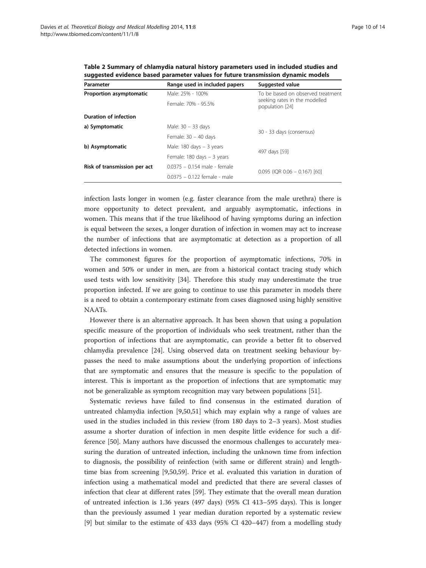| Parameter                    | Range used in included papers              | Suggested value                                                                       |  |  |
|------------------------------|--------------------------------------------|---------------------------------------------------------------------------------------|--|--|
| Proportion asymptomatic      | Male: 25% - 100%                           | To be based on observed treatment<br>seeking rates in the modelled<br>population [24] |  |  |
|                              | Female: 70% - 95.5%                        |                                                                                       |  |  |
| <b>Duration of infection</b> |                                            |                                                                                       |  |  |
| a) Symptomatic               | Male: 30 - 33 days                         | 30 - 33 days (consensus)                                                              |  |  |
|                              | Female: $30 - 40$ days                     |                                                                                       |  |  |
| b) Asymptomatic              | Male: $180 \text{ days} - 3 \text{ years}$ |                                                                                       |  |  |
|                              | Female: 180 days - 3 years                 | 497 days [59]                                                                         |  |  |
| Risk of transmission per act | 0.0375 - 0.154 male - female               |                                                                                       |  |  |
|                              | 00375 - 0122 female - male                 | $0.095$ (IQR $0.06 - 0.167$ ) [60]                                                    |  |  |

<span id="page-9-0"></span>Table 2 Summary of chlamydia natural history parameters used in included studies and suggested evidence based parameter values for future transmission dynamic models

infection lasts longer in women (e.g. faster clearance from the male urethra) there is more opportunity to detect prevalent, and arguably asymptomatic, infections in women. This means that if the true likelihood of having symptoms during an infection is equal between the sexes, a longer duration of infection in women may act to increase the number of infections that are asymptomatic at detection as a proportion of all detected infections in women.

The commonest figures for the proportion of asymptomatic infections, 70% in women and 50% or under in men, are from a historical contact tracing study which used tests with low sensitivity [[34](#page-12-0)]. Therefore this study may underestimate the true proportion infected. If we are going to continue to use this parameter in models there is a need to obtain a contemporary estimate from cases diagnosed using highly sensitive NAATs.

However there is an alternative approach. It has been shown that using a population specific measure of the proportion of individuals who seek treatment, rather than the proportion of infections that are asymptomatic, can provide a better fit to observed chlamydia prevalence [[24\]](#page-12-0). Using observed data on treatment seeking behaviour bypasses the need to make assumptions about the underlying proportion of infections that are symptomatic and ensures that the measure is specific to the population of interest. This is important as the proportion of infections that are symptomatic may not be generalizable as symptom recognition may vary between populations [[51\]](#page-12-0).

Systematic reviews have failed to find consensus in the estimated duration of untreated chlamydia infection [\[9](#page-11-0)[,50,51](#page-12-0)] which may explain why a range of values are used in the studies included in this review (from 180 days to 2–3 years). Most studies assume a shorter duration of infection in men despite little evidence for such a difference [[50](#page-12-0)]. Many authors have discussed the enormous challenges to accurately measuring the duration of untreated infection, including the unknown time from infection to diagnosis, the possibility of reinfection (with same or different strain) and lengthtime bias from screening [[9,](#page-11-0)[50,](#page-12-0)[59\]](#page-13-0). Price et al. evaluated this variation in duration of infection using a mathematical model and predicted that there are several classes of infection that clear at different rates [[59](#page-13-0)]. They estimate that the overall mean duration of untreated infection is 1.36 years (497 days) (95% CI 413–595 days). This is longer than the previously assumed 1 year median duration reported by a systematic review [[9\]](#page-11-0) but similar to the estimate of 433 days (95% CI 420–447) from a modelling study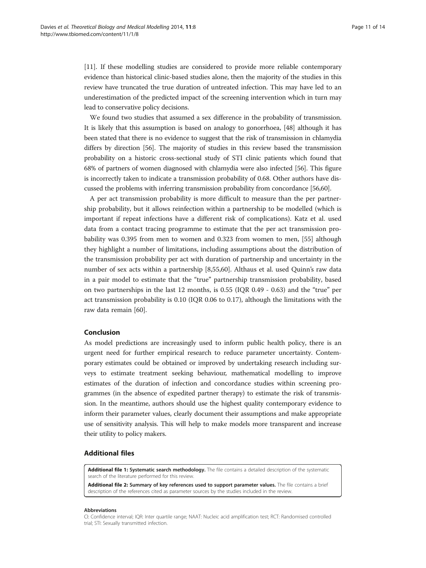<span id="page-10-0"></span>[[11\]](#page-11-0). If these modelling studies are considered to provide more reliable contemporary evidence than historical clinic-based studies alone, then the majority of the studies in this review have truncated the true duration of untreated infection. This may have led to an underestimation of the predicted impact of the screening intervention which in turn may lead to conservative policy decisions.

We found two studies that assumed a sex difference in the probability of transmission. It is likely that this assumption is based on analogy to gonorrhoea, [[48](#page-12-0)] although it has been stated that there is no evidence to suggest that the risk of transmission in chlamydia differs by direction [[56\]](#page-12-0). The majority of studies in this review based the transmission probability on a historic cross-sectional study of STI clinic patients which found that 68% of partners of women diagnosed with chlamydia were also infected [[56](#page-12-0)]. This figure is incorrectly taken to indicate a transmission probability of 0.68. Other authors have discussed the problems with inferring transmission probability from concordance [[56,](#page-12-0)[60](#page-13-0)].

A per act transmission probability is more difficult to measure than the per partnership probability, but it allows reinfection within a partnership to be modelled (which is important if repeat infections have a different risk of complications). Katz et al. used data from a contact tracing programme to estimate that the per act transmission probability was 0.395 from men to women and 0.323 from women to men, [\[55\]](#page-12-0) although they highlight a number of limitations, including assumptions about the distribution of the transmission probability per act with duration of partnership and uncertainty in the number of sex acts within a partnership [[8,](#page-11-0)[55,](#page-12-0)[60\]](#page-13-0). Althaus et al. used Quinn's raw data in a pair model to estimate that the "true" partnership transmission probability, based on two partnerships in the last 12 months, is 0.55 (IQR 0.49 - 0.63) and the "true" per act transmission probability is 0.10 (IQR 0.06 to 0.17), although the limitations with the raw data remain [\[60](#page-13-0)].

# Conclusion

As model predictions are increasingly used to inform public health policy, there is an urgent need for further empirical research to reduce parameter uncertainty. Contemporary estimates could be obtained or improved by undertaking research including surveys to estimate treatment seeking behaviour, mathematical modelling to improve estimates of the duration of infection and concordance studies within screening programmes (in the absence of expedited partner therapy) to estimate the risk of transmission. In the meantime, authors should use the highest quality contemporary evidence to inform their parameter values, clearly document their assumptions and make appropriate use of sensitivity analysis. This will help to make models more transparent and increase their utility to policy makers.

### Additional files

[Additional file 1:](http://www.biomedcentral.com/content/supplementary/1742-4682-11-8-S1.docx) Systematic search methodology. The file contains a detailed description of the systematic search of the literature performed for this review.

[Additional file 2:](http://www.biomedcentral.com/content/supplementary/1742-4682-11-8-S2.docx) Summary of key references used to support parameter values. The file contains a brief description of the references cited as parameter sources by the studies included in the review.

#### Abbreviations

CI: Confidence interval; IQR: Inter quartile range; NAAT: Nucleic acid amplification test; RCT: Randomised controlled trial; STI: Sexually transmitted infection.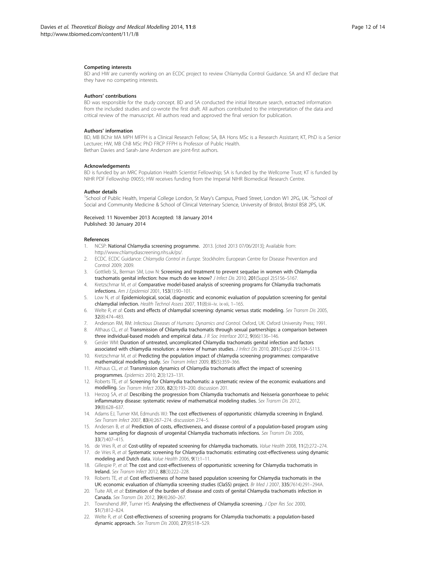#### <span id="page-11-0"></span>Competing interests

BD and HW are currently working on an ECDC project to review Chlamydia Control Guidance. SA and KT declare that they have no competing interests.

#### Authors' contributions

BD was responsible for the study concept. BD and SA conducted the initial literature search, extracted information from the included studies and co-wrote the first draft. All authors contributed to the interpretation of the data and critical review of the manuscript. All authors read and approved the final version for publication.

#### Authors' information

BD, MB BChir MA MPH MFPH is a Clinical Research Fellow; SA, BA Hons MSc is a Research Assistant; KT, PhD is a Senior Lecturer; HW, MB ChB MSc PhD FRCP FFPH is Professor of Public Health. Bethan Davies and Sarah-Jane Anderson are joint-first authors.

#### Acknowledgements

BD is funded by an MRC Population Health Scientist Fellowship; SA is funded by the Wellcome Trust; KT is funded by NIHR PDF Fellowship 09055; HW receives funding from the Imperial NIHR Biomedical Research Centre.

#### Author details

<sup>1</sup>School of Public Health, Imperial College London, St Mary's Campus, Praed Street, London W1 2PG, UK. <sup>2</sup>School of Social and Community Medicine & School of Clinical Veterinary Science, University of Bristol, Bristol BS8 2PS, UK.

Received: 11 November 2013 Accepted: 18 January 2014 Published: 30 January 2014

#### References

- 1. NCSP: National Chlamydia screening programme. 2013. [cited 2013 07/06/2013]; Available from: <http://www.chlamydiascreening.nhs.uk/ps/>.
- 2. ECDC. ECDC Guidance: Chlamydia Control in Europe. Stockholm: European Centre for Disease Prevention and Control 2009; 2009.
- 3. Gottlieb SL, Berman SM, Low N: Screening and treatment to prevent sequelae in women with Chlamydia trachomatis genital infection: how much do we know? J Infect Dis 2010, 201(Suppl 2):S156-S167.
- 4. Kretzschmar M, et al: Comparative model-based analysis of screening programs for Chlamydia trachomatis infections. Am J Epidemiol 2001, 153(1):90–101.
- 5. Low N, et al: Epidemiological, social, diagnostic and economic evaluation of population screening for genital chlamydial infection. Health Technol Assess 2007, 11(8):iii-iv. ix-xii, 1-165.
- 6. Welte R, et al: Costs and effects of chlamydial screening: dynamic versus static modeling. Sex Transm Dis 2005, 32(8):474–483.
- 7. Anderson RM, RM: Infectious Diseases of Humans: Dynamics and Control. Oxford, UK: Oxford University Press; 1991.
- 8. Althaus CL, et al: Transmission of Chlamydia trachomatis through sexual partnerships: a comparison between three individual-based models and empirical data. J R Soc Interface 2012, 9(66):136-146.
- 9. Geisler WM: Duration of untreated, uncomplicated Chlamydia trachomatis genital infection and factors associated with chlamydia resolution: a review of human studies. *J Infect Dis* 2010, 201(Suppl 2):S104–S113.
- 10. Kretzschmar M, et al: Predicting the population impact of chlamydia screening programmes: comparative mathematical modelling study. Sex Transm Infect 2009, 85(5):359–366.
- 11. Althaus CL, et al: Transmission dynamics of Chlamydia trachomatis affect the impact of screening programmes. Epidemics 2010, 2(3):123–131.
- 12. Roberts TE, et al: Screening for Chlamydia trachomatis: a systematic review of the economic evaluations and modelling. Sex Transm Infect 2006, 82(3):193–200. discussion 201.
- 13. Herzog SA, et al: Describing the progression from Chlamydia trachomatis and Neisseria gonorrhoeae to pelvic inflammatory disease: systematic review of mathematical modeling studies. Sex Transm Dis 2012, 39(8):628–637.
- 14. Adams EJ, Turner KM, Edmunds WJ: The cost effectiveness of opportunistic chlamydia screening in England. Sex Transm Infect 2007, 83(4):267-274. discussion 274-5.
- 15. Andersen B, et al: Prediction of costs, effectiveness, and disease control of a population-based program using home sampling for diagnosis of urogenital Chlamydia trachomatis infections. Sex Transm Dis 2006, 33(7):407–415.
- 16. de Vries R, et al: Cost-utility of repeated screening for chlamydia trachomatis. Value Health 2008, 11(2):272-274.
- 17. de Vries R, et al: Systematic screening for Chlamydia trachomatis: estimating cost-effectiveness using dynamic modeling and Dutch data. Value Health 2006, 9(1):1–11.
- 18. Gillespie P, et al: The cost and cost-effectiveness of opportunistic screening for Chlamydia trachomatis in Ireland. Sex Transm Infect 2012, 88(3):222–228.
- 19. Roberts TE, et al: Cost effectiveness of home based population screening for Chlamydia trachomatis in the UK: economic evaluation of chlamydia screening studies (ClaSS) project. Br Med J 2007, 335(7614):291-294A.
- 20. Tuite AR, et al: Estimation of the burden of disease and costs of genital Chlamydia trachomatis infection in Canada. Sex Transm Dis 2012, 39(4):260–267.
- 21. Townshend JRP, Turner HS: Analysing the effectiveness of Chlamydia screening. J Oper Res Soc 2000, 51(7):812–824.
- 22. Welte R, et al: Cost-effectiveness of screening programs for Chlamydia trachomatis: a population-based dynamic approach. Sex Transm Dis 2000, 27(9):518–529.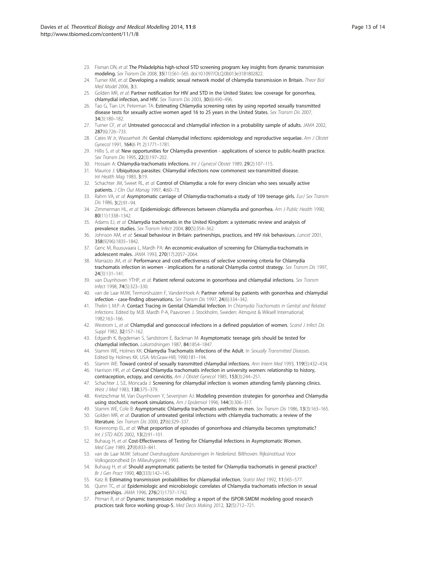- <span id="page-12-0"></span>23. Fisman DN, et al: The Philadelphia high-school STD screening program: key insights from dynamic transmission modeling. Sex Transm Dis 2008, 35(11):S61–S65. doi:10.1097/OLQ.0b013e3181802822.
- 24. Turner KM, et al: Developing a realistic sexual network model of chlamydia transmission in Britain. Theor Biol Med Model 2006, 3:3.
- 25. Golden MR, et al: Partner notification for HIV and STD in the United States: low coverage for gonorrhea, chlamydial infection, and HIV. Sex Transm Dis 2003, 30(6):490–496.
- 26. Tao G, Tian LH, Peterman TA: Estimating Chlamydia screening rates by using reported sexually transmitted disease tests for sexually active women aged 16 to 25 years in the United States. Sex Transm Dis 2007, 34(3):180–182.
- 27. Turner CF, et al: Untreated gonococcal and chlamydial infection in a probability sample of adults. JAMA 2002, 287(6):726–733.
- 28. Cates W Jr, Wasserheit JN: Genital chlamydial infections: epidemiology and reproductive sequelae. Am J Obstet Gynecol 1991, 164(6 Pt 2):1771–1781.
- 29. Hillis S, et al: New opportunities for Chlamydia prevention applications of science to public-health practice. Sex Transm Dis 1995, 22(3):197–202.
- 30. Hossain A: Chlamydia-trachomatis infections. Int J Gynecol Obstet 1989, 29(2):107-115.
- 31. Maurice J: Ubiquitous parasites: Chlamydial infections now commonest sex-transmitted disease. Int Health Mag 1983, 3:19.
- 32. Schachter JM, Sweet RL, et al: Control of Chlamydia: a role for every clinician who sees sexually active patients. J Clin Out Manag 1997, 4:60-73.
- 33. Rahm VA, et al: Asymptomatic carriage of Chlamydia-trachomatis-a study of 109 teenage girls. EurJ Sex Transm Dis 1986, 3(2):91–94.
- 34. Zimmerman HL, et al: Epidemiologic differences between chlamydia and gonorrhea. Am J Public Health 1990, 80(11):1338–1342.
- 35. Adams EJ, et al: Chlamydia trachomatis in the United Kingdom: a systematic review and analysis of prevalence studies. Sex Transm Infect 2004, 80(5):354–362.
- 36. Johnson AM, et al: Sexual behaviour in Britain: partnerships, practices, and HIV risk behaviours. Lancet 2001, 358(9296):1835–1842.
- 37. Genc M, Ruusuvaara L, Mardh PA: An economic-evaluation of screening for Chlamydia-trachomatis in adolescent males. JAMA 1993, 270(17):2057–2064.
- 38. Marrazzo JM, et al: Performance and cost-effectiveness of selective screening criteria for Chlamydia trachomatis infection in women - implications for a national Chlamydia control strategy. Sex Transm Dis 1997, 24(3):131–141.
- 39. van Duynhoven YTHP, et al: Patient referral outcome in gonorrhoea and chlamydial infections. Sex Transm Infect 1998, 74(5):323–330.
- 40. van de Laar MJW, Termorshuizen F, VandenHoek A: Partner referral by patients with gonorrhea and chlamydial infection - case-finding observations. Sex Transm Dis 1997, 24(6):334–342.
- 41. Thelin I, M.P.-A: Contact Tracing in Genital Chlamdial Infection. In Chlamydia Trachomatis in Genital and Related Infections. Edited by M.B. Mardh P-A, Paavonen J. Stockholm, Sweden: Almqvist & Wiksell International; 1982:163–166.
- 42. Westrom L, et al: Chlamydial and gonococcal infections in a defined population of women. Scand J Infect Dis Suppl 1982, 32:157-162.
- 43. Edgardh K, Bygdeman S, Sandstrom E, Backman M: Asymptomatic teenage girls should be tested for chlamydial infection. Lakartidningen 1987, 84:1854–1847.
- 44. Stamm WE, Holmes KK: Chlamydia Trachomatis Infections of the Adult. In Sexually Transmitted Diseases. Edited by Holmes KK. USA: McGraw-Hill; 1990:181–194.
- 45. Stamm WE: Toward control of sexually transmitted chlamydial infections. Ann Intern Med 1993, 119(5):432-434.
- 46. Harrison HR, et al: Cervical Chlamydia trachomatis infection in university women: relationship to history, contraception, ectopy, and cervicitis. Am J Obstet Gynecol 1985, 153(3):244–251.
- 47. Schachter J, S.E, Moncada J: Screening for chlamydial infection is women attending family planning clinics. West J Med 1983, 138:375–379.
- 48. Kretzschmar M, Van Duynhoven Y, Severijnen AJ: Modeling prevention strategies for gonorrhea and Chlamydia using stochastic network simulations. Am J Epidemiol 1996, 144(3):306-317.
- 49. Stamm WE, Cole B: Asymptomatic Chlamydia trachomatis urethritis in men. Sex Transm Dis 1986, 13(3):163-165.
- 50. Golden MR, et al: Duration of untreated genital infections with chlamydia trachomatis: a review of the literature. Sex Transm Dis 2000, 27(6):329–337.
- 51. Korenromp EL, et al: What proportion of episodes of gonorrhoea and chlamydia becomes symptomatic? Int J STD AIDS 2002, 13(2):91–101.
- 52. Buhaug H, et al: Cost-Effectiveness of Testing for Chlamydial Infections in Asymptomatic Women. Med Care 1989, 27(8):833–841.
- 53. van de Laar MJW: Seksueel Overdraagbare Aandoeningen In Nederland. Bilthoven: Rijksinstituut Voor Volksgezondheid En Milieuhygiene; 1993.
- 54. Buhaug H, et al: Should asymptomatic patients be tested for Chlamydia trachomatis in general practice? Br J Gen Pract 1990, 40(333):142–145.
- 55. Katz B: Estimating transmission probabilities for chlamydial infection. Statist Med 1992, 11:565–577.
- 56. Quinn TC, et al: Epidemiologic and microbiologic correlates of Chlamydia trachomatis infection in sexual partnerships. JAMA 1996, 276(21):1737–1742.
- 57. Pitman R, et al: Dynamic transmission modeling: a report of the ISPOR-SMDM modeling good research practices task force working group-5. Med Decis Making 2012, 32(5):712–721.